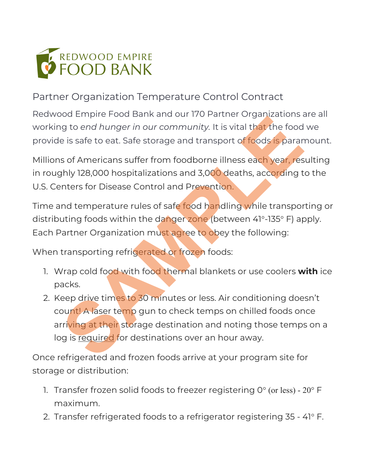

## Partner Organization Temperature Control Contract

Redwood Empire Food Bank and our 170 Partner Organizations are all working to end hunger in our community. It is vital that the food we provide is safe to eat. Safe storage and transport of foods is paramount.

Millions of Americans suffer from foodborne illness each year, resulting in roughly 128,000 hospitalizations and 3,000 deaths, according to the U.S. Centers for Disease Control and Prevention.

Time and temperature rules of safe food handling while transporting or distributing foods within the danger zone (between 41°-135° F) apply. Each Partner Organization must agree to obey the following:

When transporting refrigerated or frozen foods:

- 1. Wrap cold food with food thermal blankets or use coolers **with** ice packs.
- 2. Keep drive times to 30 minutes or less. Air conditioning doesn't count! A laser temp gun to check temps on chilled foods once arriving at their storage destination and noting those temps on a log is required for destinations over an hour away. Broad Empire Fiscal Bank and our Fisch anticlous cyclode Linpine Fiscal Bank and our Fisch rather organizations of the sister to exist a Safe storage and transport of foods is parar so of Americans suffer from foodborne il

Once refrigerated and frozen foods arrive at your program site for storage or distribution:

- 1. Transfer frozen solid foods to freezer registering 0° (or less) 20° F maximum.
- 2. Transfer refrigerated foods to a refrigerator registering 35 41° F.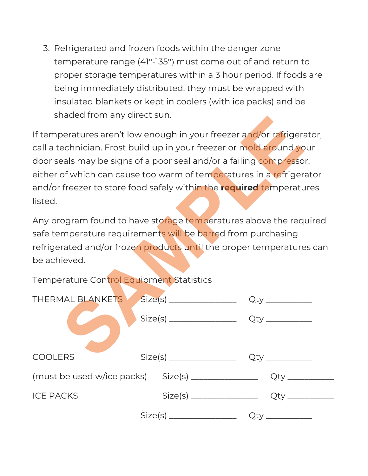3. Refrigerated and frozen foods within the danger zone temperature range (41°-135°) must come out of and return to proper storage temperatures within a 3 hour period. If foods are being immediately distributed, they must be wrapped with insulated blankets or kept in coolers (with ice packs) and be shaded from any direct sun.

If temperatures aren't low enough in your freezer and/or refrigerator, call a technician. Frost build up in your freezer or mold around your door seals may be signs of a poor seal and/or a failing compressor, either of which can cause too warm of temperatures in a refrigerator and/or freezer to store food safely within the **required** temperatures listed. Beratures aren't low enough in your freezer and/or refrigered echnician. Frost build up in your freezer or mold around yous<br>Beals may be signs of a poor seal and/or a failing compressor<br>of which can cause too warm of tempe

Any program found to have storage temperatures above the required safe temperature requirements will be barred from purchasing refrigerated and/or frozen products until the proper temperatures can be achieved.

Temperature Control Equipment Statistics

| THERMAL BLANKETS |                |
|------------------|----------------|
|                  |                |
| <b>COOLERS</b>   |                |
|                  |                |
| <b>ICE PACKS</b> |                |
|                  | Qty __________ |